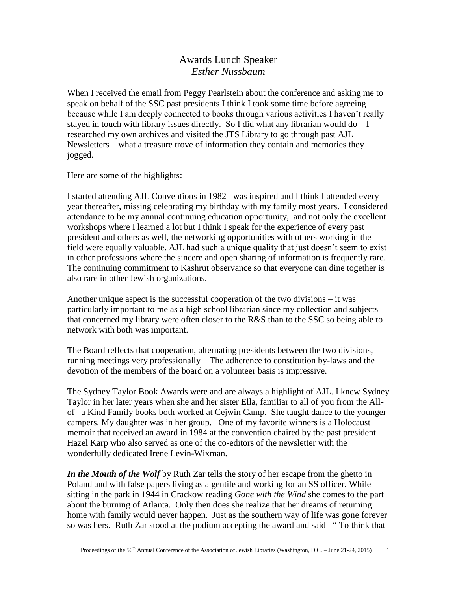## Awards Lunch Speaker *Esther Nussbaum*

When I received the email from Peggy Pearlstein about the conference and asking me to speak on behalf of the SSC past presidents I think I took some time before agreeing because while I am deeply connected to books through various activities I haven't really stayed in touch with library issues directly. So I did what any librarian would  $d\sigma - I$ researched my own archives and visited the JTS Library to go through past AJL Newsletters – what a treasure trove of information they contain and memories they jogged.

Here are some of the highlights:

I started attending AJL Conventions in 1982 –was inspired and I think I attended every year thereafter, missing celebrating my birthday with my family most years. I considered attendance to be my annual continuing education opportunity, and not only the excellent workshops where I learned a lot but I think I speak for the experience of every past president and others as well, the networking opportunities with others working in the field were equally valuable. AJL had such a unique quality that just doesn't seem to exist in other professions where the sincere and open sharing of information is frequently rare. The continuing commitment to Kashrut observance so that everyone can dine together is also rare in other Jewish organizations.

Another unique aspect is the successful cooperation of the two divisions – it was particularly important to me as a high school librarian since my collection and subjects that concerned my library were often closer to the R&S than to the SSC so being able to network with both was important.

The Board reflects that cooperation, alternating presidents between the two divisions, running meetings very professionally – The adherence to constitution by-laws and the devotion of the members of the board on a volunteer basis is impressive.

The Sydney Taylor Book Awards were and are always a highlight of AJL. I knew Sydney Taylor in her later years when she and her sister Ella, familiar to all of you from the Allof –a Kind Family books both worked at Cejwin Camp. She taught dance to the younger campers. My daughter was in her group. One of my favorite winners is a Holocaust memoir that received an award in 1984 at the convention chaired by the past president Hazel Karp who also served as one of the co-editors of the newsletter with the wonderfully dedicated Irene Levin-Wixman.

*In the Mouth of the Wolf* by Ruth Zar tells the story of her escape from the ghetto in Poland and with false papers living as a gentile and working for an SS officer. While sitting in the park in 1944 in Crackow reading *Gone with the Wind* she comes to the part about the burning of Atlanta. Only then does she realize that her dreams of returning home with family would never happen. Just as the southern way of life was gone forever so was hers. Ruth Zar stood at the podium accepting the award and said –" To think that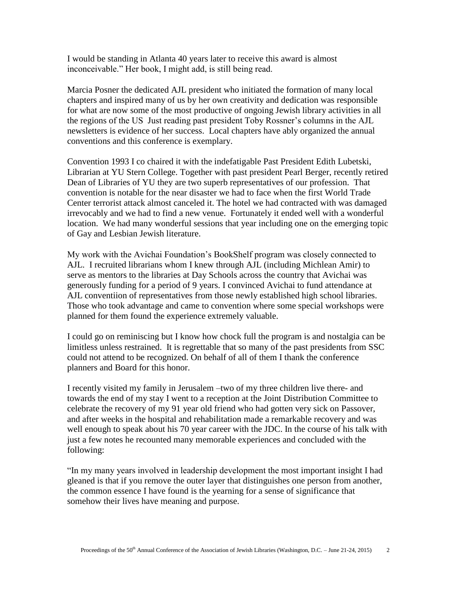I would be standing in Atlanta 40 years later to receive this award is almost inconceivable." Her book, I might add, is still being read.

Marcia Posner the dedicated AJL president who initiated the formation of many local chapters and inspired many of us by her own creativity and dedication was responsible for what are now some of the most productive of ongoing Jewish library activities in all the regions of the US Just reading past president Toby Rossner's columns in the AJL newsletters is evidence of her success. Local chapters have ably organized the annual conventions and this conference is exemplary.

Convention 1993 I co chaired it with the indefatigable Past President Edith Lubetski, Librarian at YU Stern College. Together with past president Pearl Berger, recently retired Dean of Libraries of YU they are two superb representatives of our profession. That convention is notable for the near disaster we had to face when the first World Trade Center terrorist attack almost canceled it. The hotel we had contracted with was damaged irrevocably and we had to find a new venue. Fortunately it ended well with a wonderful location. We had many wonderful sessions that year including one on the emerging topic of Gay and Lesbian Jewish literature.

My work with the Avichai Foundation's BookShelf program was closely connected to AJL. I recruited librarians whom I knew through AJL (including Michlean Amir) to serve as mentors to the libraries at Day Schools across the country that Avichai was generously funding for a period of 9 years. I convinced Avichai to fund attendance at AJL conventiion of representatives from those newly established high school libraries. Those who took advantage and came to convention where some special workshops were planned for them found the experience extremely valuable.

I could go on reminiscing but I know how chock full the program is and nostalgia can be limitless unless restrained. It is regrettable that so many of the past presidents from SSC could not attend to be recognized. On behalf of all of them I thank the conference planners and Board for this honor.

I recently visited my family in Jerusalem –two of my three children live there- and towards the end of my stay I went to a reception at the Joint Distribution Committee to celebrate the recovery of my 91 year old friend who had gotten very sick on Passover, and after weeks in the hospital and rehabilitation made a remarkable recovery and was well enough to speak about his 70 year career with the JDC. In the course of his talk with just a few notes he recounted many memorable experiences and concluded with the following:

"In my many years involved in leadership development the most important insight I had gleaned is that if you remove the outer layer that distinguishes one person from another, the common essence I have found is the yearning for a sense of significance that somehow their lives have meaning and purpose.